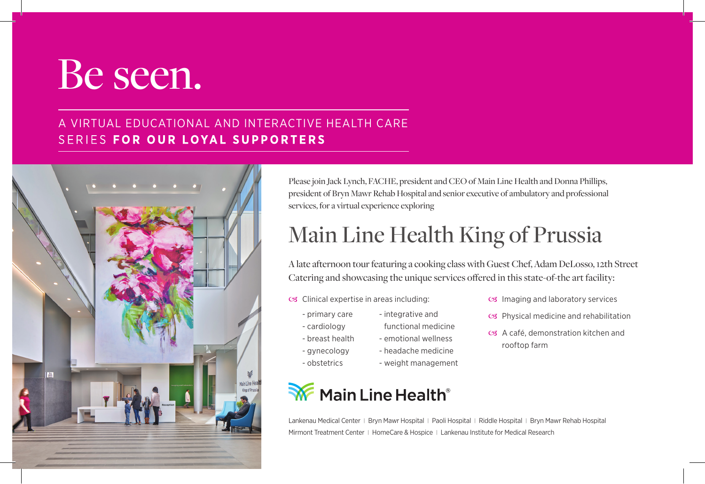## Be seen.

## A VIRTUAL EDUCATIONAL AND INTERACTIVE HEALTH CARE SERIES FOR OUR LOYAL SUPPORTERS

| ¥<br>$\frac{\hbar\omega}{\hbar m}$<br>Reception | Main Line Health<br>King of Prussia |
|-------------------------------------------------|-------------------------------------|

Please join Jack Lynch, FACHE, president and CEO of Main Line Health and Donna Phillips, president of Bryn Mawr Rehab Hospital and senior executive of ambulatory and professional services, for a virtual experience exploring

## Main Line Health King of Prussia

A late afternoon tour featuring a cooking class with Guest Chef, Adam DeLosso, 12th Street Catering and showcasing the unique services offered in this state-of-the art facility:

- os Clinical expertise in areas including:
	- primary care
		- integrative and
	- cardiology
- functional medicine - emotional wellness
- breast health
- gynecology - obstetrics
- headache medicine - weight management
- os Imaging and laboratory services
- $\infty$  Physical medicine and rehabilitation
- C<sub>3</sub> A café, demonstration kitchen and rooftop farm
- Main Line Health<sup>®</sup>

Lankenau Medical Center | Bryn Mawr Hospital | Paoli Hospital | Riddle Hospital | Bryn Mawr Rehab Hospital Mirmont Treatment Center | HomeCare & Hospice | Lankenau Institute for Medical Research